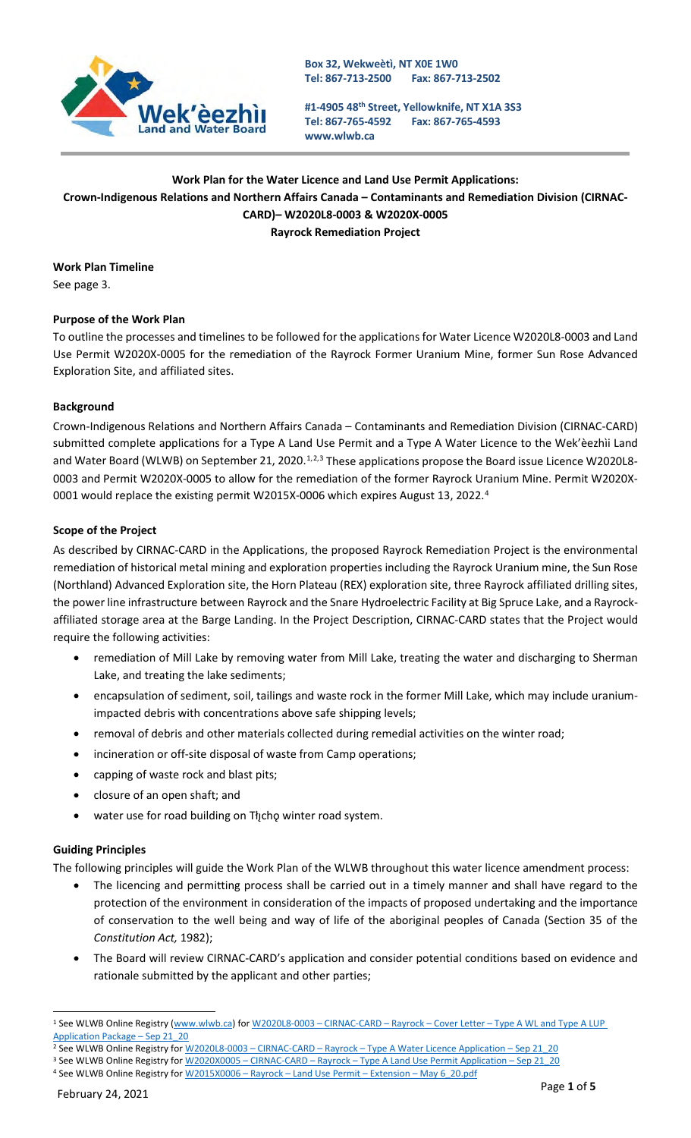

**#1-4905 48th Street, Yellowknife, NT X1A 3S3 Tel: 867-765-4592 [www.wlwb.ca](http://www.wlwb.ca/) Fax: 867-765-4593**

# **Work Plan for the Water Licence and Land Use Permit Applications: Crown-Indigenous Relations and Northern Affairs Canada – Contaminants and Remediation Division (CIRNAC-CARD)– W2020L8-0003 & W2020X-0005 Rayrock Remediation Project**

**Work Plan Timeline** See page 3.

## **Purpose of the Work Plan**

To outline the processes and timelines to be followed for the applications for Water Licence W2020L8-0003 and Land Use Permit W2020X-0005 for the remediation of the Rayrock Former Uranium Mine, former Sun Rose Advanced Exploration Site, and affiliated sites.

#### **Background**

Crown-Indigenous Relations and Northern Affairs Canada – Contaminants and Remediation Division (CIRNAC-CARD) submitted complete applications for a Type A Land Use Permit and a Type A Water Licence to the Wek'èezhìi Land and Water Board (WLWB) on September 2[1](#page-0-0), [2](#page-0-1)020.<sup>1,2,[3](#page-0-2)</sup> These applications propose the Board issue Licence W2020L8-0003 and Permit W2020X-0005 to allow for the remediation of the former Rayrock Uranium Mine. Permit W2020X-0001 would replace the existing permit W2015X-0006 which expires August 13, 2022.<sup>[4](#page-0-3)</sup>

#### **Scope of the Project**

As described by CIRNAC-CARD in the Applications, the proposed Rayrock Remediation Project is the environmental remediation of historical metal mining and exploration properties including the Rayrock Uranium mine, the Sun Rose (Northland) Advanced Exploration site, the Horn Plateau (REX) exploration site, three Rayrock affiliated drilling sites, the power line infrastructure between Rayrock and the Snare Hydroelectric Facility at Big Spruce Lake, and a Rayrockaffiliated storage area at the Barge Landing. In the Project Description, CIRNAC-CARD states that the Project would require the following activities:

- remediation of Mill Lake by removing water from Mill Lake, treating the water and discharging to Sherman Lake, and treating the lake sediments;
- encapsulation of sediment, soil, tailings and waste rock in the former Mill Lake, which may include uraniumimpacted debris with concentrations above safe shipping levels;
- removal of debris and other materials collected during remedial activities on the winter road;
- incineration or off-site disposal of waste from Camp operations;
- capping of waste rock and blast pits;
- closure of an open shaft; and
- water use for road building on Tłįchę winter road system.

## **Guiding Principles**

The following principles will guide the Work Plan of the WLWB throughout this water licence amendment process:

- The licencing and permitting process shall be carried out in a timely manner and shall have regard to the protection of the environment in consideration of the impacts of proposed undertaking and the importance of conservation to the well being and way of life of the aboriginal peoples of Canada (Section 35 of the *Constitution Act,* 1982);
- The Board will review CIRNAC-CARD's application and consider potential conditions based on evidence and rationale submitted by the applicant and other parties;

<span id="page-0-0"></span><sup>1</sup> See WLWB Online Registry [\(www.wlwb.ca\)](http://www.wlwb.ca/) for W2020L8-0003 - CIRNAC-CARD - Rayrock - Cover Letter - Type A WL and Type A LUP [Application Package –](http://registry.mvlwb.ca/Documents/W2020L8-0003/W2020L8-0003%20-CIRNAC-CARD%20-%20Rayrock%20-%20%20Cover%20Letter%20-%20Type%20A%20WL%20and%20Type%20A%20LUP%20Application%20Package%20-%20Sep%2021_20.pdf) Sep 21\_20

<span id="page-0-1"></span><sup>&</sup>lt;sup>2</sup> See WLWB Online Registry for **W2020L8-0003** – CIRNAC-CARD – Rayrock – [Type A Water Licence Application –](http://registry.mvlwb.ca/Documents/W2020L8-0003/W2020L8-0003%20-%20CIRNAC-CARD%20-%20Rayrock%20-%20Type%20A%20Water%20Licence%20Application%20-Sep%2021_20.pdf) Sep 21\_20

<span id="page-0-2"></span><sup>&</sup>lt;sup>3</sup> See WLWB Online Registry for W2020X0005 – CIRNAC-CARD – Rayrock – [Type A Land Use Permit Application –](http://registry.mvlwb.ca/Documents/W2020X0005/W2020X0005%20-%20CIRNAC-CARD%20-%20Rayrock%20-%20Type%20A%20Land%20Use%20Permit%20Application%20-%20Sep%2021_20.pdf) Sep 21\_20

<span id="page-0-3"></span><sup>4</sup> See WLWB Online Registry for W2015X0006 - Rayrock - Land Use Permit - Extension - May 6 20.pdf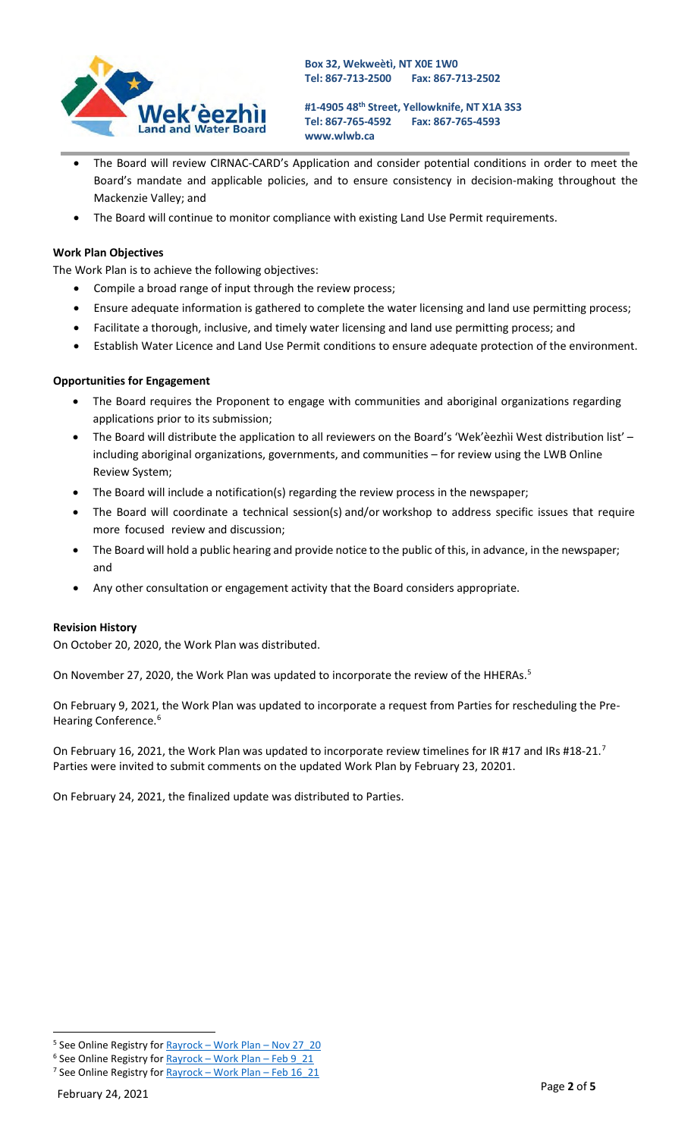

**#1-4905 48th Street, Yellowknife, NT X1A 3S3 Tel: 867-765-4592 [www.wlwb.ca](http://www.wlwb.ca/) Fax: 867-765-4593**

- The Board will review CIRNAC-CARD's Application and consider potential conditions in order to meet the Board's mandate and applicable policies, and to ensure consistency in decision-making throughout the Mackenzie Valley; and
- The Board will continue to monitor compliance with existing Land Use Permit requirements.

## **Work Plan Objectives**

The Work Plan is to achieve the following objectives:

- Compile a broad range of input through the review process;
- Ensure adequate information is gathered to complete the water licensing and land use permitting process;
- Facilitate a thorough, inclusive, and timely water licensing and land use permitting process; and
- Establish Water Licence and Land Use Permit conditions to ensure adequate protection of the environment.

## **Opportunities for Engagement**

- The Board requires the Proponent to engage with communities and aboriginal organizations regarding applications prior to its submission;
- The Board will distribute the application to all reviewers on the Board's 'Wek'èezhìi West distribution list' including aboriginal organizations, governments, and communities – for review using the LWB Online Review System;
- The Board will include a notification(s) regarding the review process in the newspaper;
- The Board will coordinate a technical session(s) and/or workshop to address specific issues that require more focused review and discussion;
- The Board will hold a public hearing and provide notice to the public of this, in advance, in the newspaper; and
- Any other consultation or engagement activity that the Board considers appropriate.

#### **Revision History**

On October 20, 2020, the Work Plan was distributed.

On November 27, 2020, the Work Plan was updated to incorporate the review of the HHERAs.<sup>5</sup>

On February 9, 2021, the Work Plan was updated to incorporate a request from Parties for rescheduling the Pre-Hearing Conference.<sup>[6](#page-1-1)</sup>

On February 16, 2021, the Work Plan was updated to incorporate review timelines for IR #1[7](#page-1-2) and IRs #18-21.<sup>7</sup> Parties were invited to submit comments on the updated Work Plan by February 23, 20201.

On February 24, 2021, the finalized update was distributed to Parties.

<span id="page-1-0"></span><sup>&</sup>lt;sup>5</sup> See Online Registry for **Rayrock** – [Work Plan –](http://registry.mvlwb.ca/Documents/W2020L8-0003/Rayrock%20-%20Work%20Plan%20-%20Nov%2027_20.pdf) Nov 27\_20

<span id="page-1-2"></span><span id="page-1-1"></span> $6$  See Online Registry for  $Rayrock - Work Plan - Feb 9$  21 <sup>7</sup> See Online Registry for **Rayrock** – [Work Plan –](http://registry.mvlwb.ca/Documents/W2020L8-0003/Rayrock%20-%20Work%20Plan%20-%20Feb%2016_21.pdf) Feb 16 21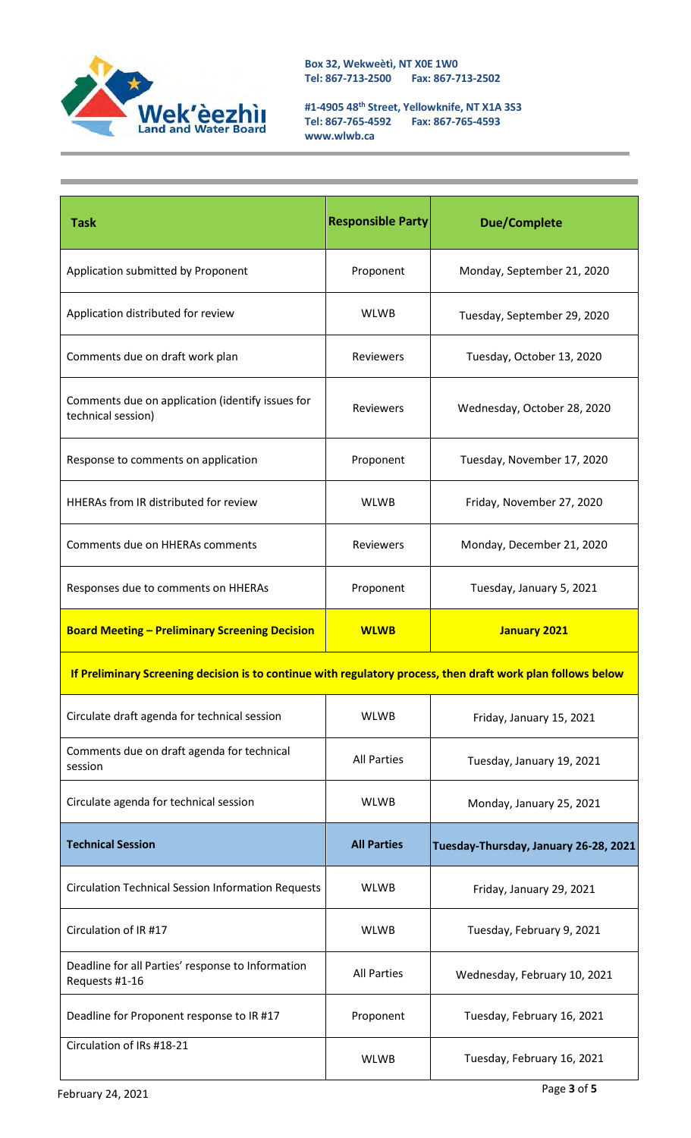

**#1-4905 48th Street, Yellowknife, NT X1A 3S3 Tel: 867-765-4592 Fax: 867-765-4593 [www.wlwb.ca](http://www.wlwb.ca/)**

| <b>Task</b>                                                                                                  | <b>Responsible Party</b> | <b>Due/Complete</b>                   |  |  |
|--------------------------------------------------------------------------------------------------------------|--------------------------|---------------------------------------|--|--|
| Application submitted by Proponent                                                                           | Proponent                | Monday, September 21, 2020            |  |  |
| Application distributed for review                                                                           | <b>WLWB</b>              | Tuesday, September 29, 2020           |  |  |
| Comments due on draft work plan                                                                              | Reviewers                | Tuesday, October 13, 2020             |  |  |
| Comments due on application (identify issues for<br>technical session)                                       | <b>Reviewers</b>         | Wednesday, October 28, 2020           |  |  |
| Response to comments on application                                                                          | Proponent                | Tuesday, November 17, 2020            |  |  |
| HHERAs from IR distributed for review                                                                        | <b>WLWB</b>              | Friday, November 27, 2020             |  |  |
| Comments due on HHERAs comments                                                                              | Reviewers                | Monday, December 21, 2020             |  |  |
| Responses due to comments on HHERAs                                                                          | Proponent                | Tuesday, January 5, 2021              |  |  |
| <b>Board Meeting - Preliminary Screening Decision</b>                                                        | <b>WLWB</b>              | <b>January 2021</b>                   |  |  |
| If Preliminary Screening decision is to continue with regulatory process, then draft work plan follows below |                          |                                       |  |  |
| Circulate draft agenda for technical session                                                                 | <b>WLWB</b>              | Friday, January 15, 2021              |  |  |
| Comments due on draft agenda for technical<br>session                                                        | <b>All Parties</b>       | Tuesday, January 19, 2021             |  |  |
| Circulate agenda for technical session                                                                       | <b>WLWB</b>              | Monday, January 25, 2021              |  |  |
| <b>Technical Session</b>                                                                                     | <b>All Parties</b>       | Tuesday-Thursday, January 26-28, 2021 |  |  |
| <b>Circulation Technical Session Information Requests</b>                                                    | <b>WLWB</b>              | Friday, January 29, 2021              |  |  |
| Circulation of IR #17                                                                                        | <b>WLWB</b>              | Tuesday, February 9, 2021             |  |  |
| Deadline for all Parties' response to Information<br>Requests #1-16                                          | <b>All Parties</b>       | Wednesday, February 10, 2021          |  |  |
| Deadline for Proponent response to IR #17                                                                    | Proponent                | Tuesday, February 16, 2021            |  |  |
| Circulation of IRs #18-21                                                                                    | <b>WLWB</b>              | Tuesday, February 16, 2021            |  |  |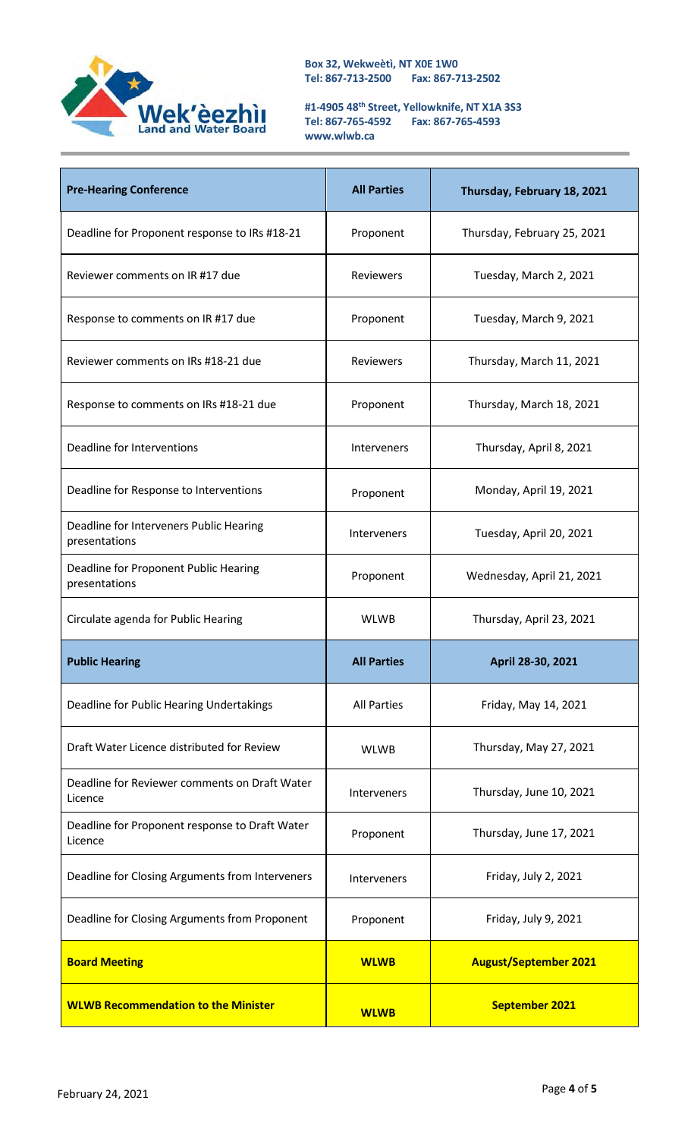

**#1-4905 48th Street, Yellowknife, NT X1A 3S3 Tel: 867-765-4592 Fax: 867-765-4593 [www.wlwb.ca](http://www.wlwb.ca/)**

| <b>Pre-Hearing Conference</b>                             | <b>All Parties</b> | Thursday, February 18, 2021  |
|-----------------------------------------------------------|--------------------|------------------------------|
| Deadline for Proponent response to IRs #18-21             | Proponent          | Thursday, February 25, 2021  |
| Reviewer comments on IR #17 due                           | Reviewers          | Tuesday, March 2, 2021       |
| Response to comments on IR #17 due                        | Proponent          | Tuesday, March 9, 2021       |
| Reviewer comments on IRs #18-21 due                       | <b>Reviewers</b>   | Thursday, March 11, 2021     |
| Response to comments on IRs #18-21 due                    | Proponent          | Thursday, March 18, 2021     |
| Deadline for Interventions                                | <b>Interveners</b> | Thursday, April 8, 2021      |
| Deadline for Response to Interventions                    | Proponent          | Monday, April 19, 2021       |
| Deadline for Interveners Public Hearing<br>presentations  | Interveners        | Tuesday, April 20, 2021      |
| Deadline for Proponent Public Hearing<br>presentations    | Proponent          | Wednesday, April 21, 2021    |
| Circulate agenda for Public Hearing                       | <b>WLWB</b>        | Thursday, April 23, 2021     |
| <b>Public Hearing</b>                                     | <b>All Parties</b> | April 28-30, 2021            |
| Deadline for Public Hearing Undertakings                  | <b>All Parties</b> | Friday, May 14, 2021         |
| Draft Water Licence distributed for Review                | <b>WLWB</b>        | Thursday, May 27, 2021       |
| Deadline for Reviewer comments on Draft Water<br>Licence  | <b>Interveners</b> | Thursday, June 10, 2021      |
| Deadline for Proponent response to Draft Water<br>Licence | Proponent          | Thursday, June 17, 2021      |
| Deadline for Closing Arguments from Interveners           | Interveners        | Friday, July 2, 2021         |
| Deadline for Closing Arguments from Proponent             | Proponent          | Friday, July 9, 2021         |
| <b>Board Meeting</b>                                      | <b>WLWB</b>        | <b>August/September 2021</b> |
| <b>WLWB Recommendation to the Minister</b>                | <b>WLWB</b>        | <b>September 2021</b>        |